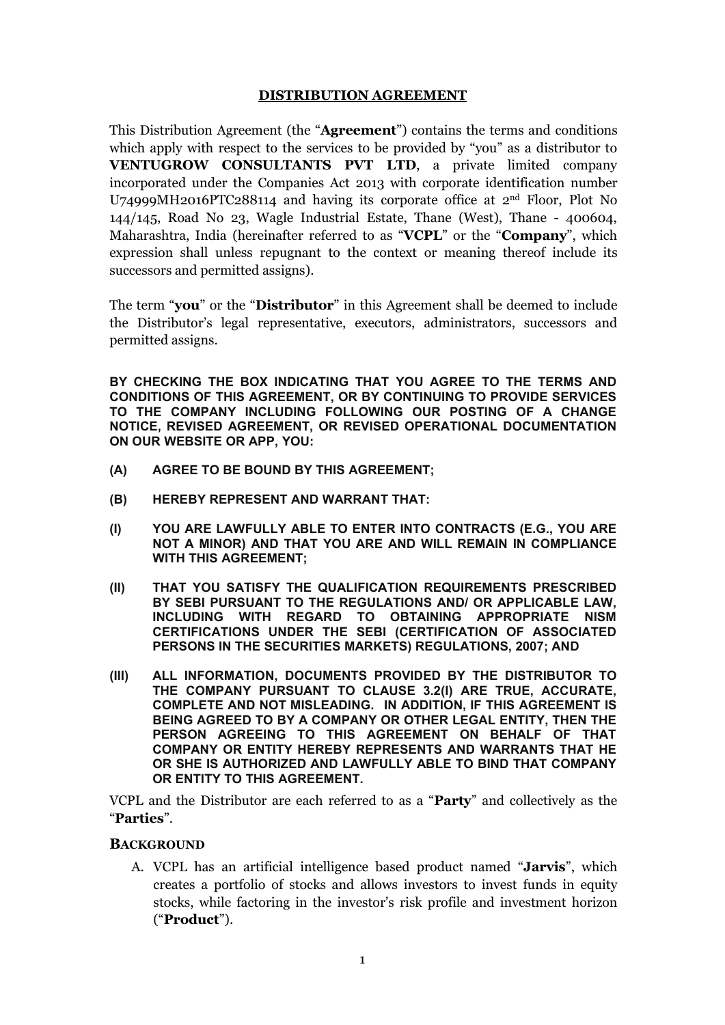# **DISTRIBUTION AGREEMENT**

This Distribution Agreement (the "**Agreement**") contains the terms and conditions which apply with respect to the services to be provided by "you" as a distributor to **VENTUGROW CONSULTANTS PVT LTD, a private limited company** incorporated under the Companies Act 2013 with corporate identification number U74999MH2016PTC288114 and having its corporate office at 2<sup>nd</sup> Floor, Plot No 144/145, Road No 23, Wagle Industrial Estate, Thane (West), Thane - 400604, Maharashtra, India (hereinafter referred to as "**VCPL**" or the "**Company**", which expression shall unless repugnant to the context or meaning thereof include its successors and permitted assigns).

The term "**you**" or the "**Distributor**" in this Agreement shall be deemed to include the Distributor's legal representative, executors, administrators, successors and permitted assigns.

**BY CHECKING THE BOX INDICATING THATYOU AGREE TO THE TERMS AND CONDITIONS OF THIS AGREEMENT, OR BY CONTINUING TO PROVIDE SERVICES TO THE COMPANY INCLUDING FOLLOWING OUR POSTING OF A CHANGE NOTICE, REVISED AGREEMENT, OR REVISED OPERATIONAL DOCUMENTATION ON OUR WEBSITE OR APP, YOU:**

- **(A) AGREE TO BE BOUND BY THIS AGREEMENT;**
- **(B) HEREBY REPRESENT AND WARRANT THAT:**
- **(I) YOU ARE LAWFULLY ABLE TO ENTER INTO CONTRACTS (E.G., YOU ARE NOT A MINOR) AND THAT YOU ARE AND WILL REMAIN IN COMPLIANCE WITH THIS AGREEMENT;**
- **(II) THAT YOU SATISFY THE QUALIFICATION REQUIREMENTS PRESCRIBED BY SEBI PURSUANT TO THE REGULATIONS AND/ OR APPLICABLE LAW, INCLUDING WITH REGARD TO OBTAINING APPROPRIATE NISM CERTIFICATIONS UNDER THE SEBI (CERTIFICATION OFASSOCIATED PERSONS IN THE SECURITIES MARKETS) REGULATIONS, 2007; AND**
- **(III) ALL INFORMATION, DOCUMENTS PROVIDED BY THE DISTRIBUTOR TO THE COMPANY PURSUANT TO CLAUSE 3.2(I) ARE TRUE, ACCURATE, COMPLETE AND NOT MISLEADING. IN ADDITION, IF THIS AGREEMENT IS BEING AGREED TO BY A COMPANY OR OTHER LEGAL ENTITY, THEN THE PERSON AGREEING TO THIS AGREEMENT ON BEHALF OF THAT COMPANY OR ENTITY HEREBY REPRESENTS AND WARRANTS THAT HE OR SHE IS AUTHORIZED AND LAWFULLY ABLE TO BIND THAT COMPANY OR ENTITY TO THIS AGREEMENT.**

VCPL and the Distributor are each referred to as a "**Party**" and collectively as the "**Parties**".

#### **BACKGROUND**

A. VCPL has an artificial intelligence based product named "**Jarvis**", which creates a portfolio of stocks and allows investors to invest funds in equity stocks, while factoring in the investor's risk profile and investment horizon ("**Product**").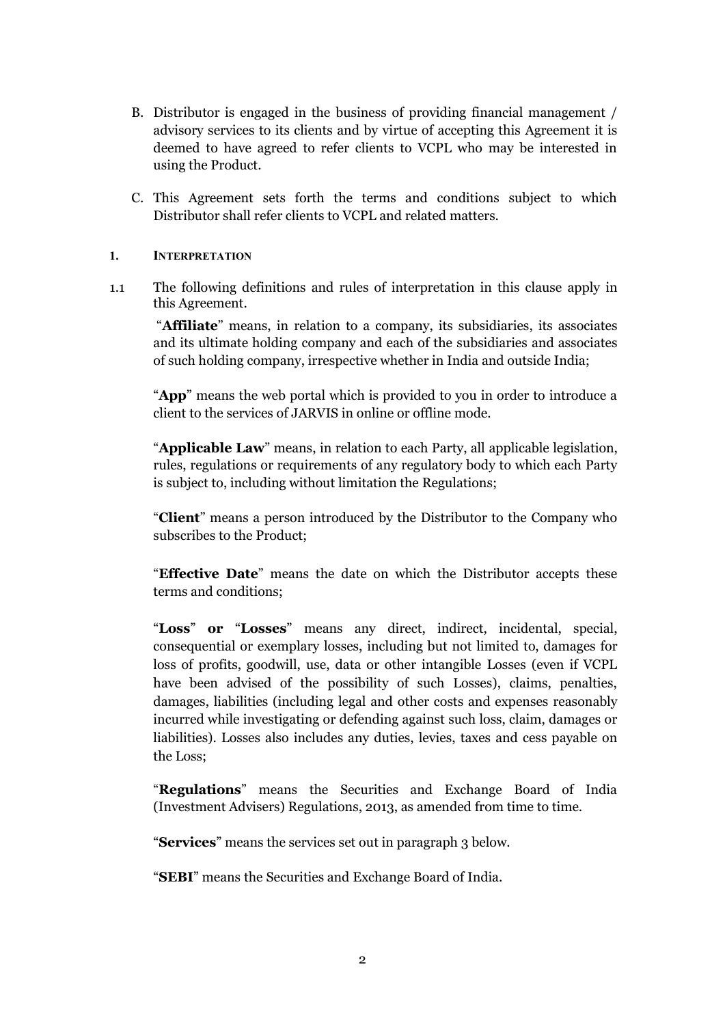- B. Distributor is engaged in the business of providing financial management / advisory services to its clients and by virtue of accepting this Agreement it is deemed to have agreed to refer clients to VCPL who may be interested in using the Product.
- C. This Agreement sets forth the terms and conditions subject to which Distributor shall refer clients to VCPL and related matters.

# **1. INTERPRETATION**

1.1 The following definitions and rules of interpretation in this clause apply in this Agreement.

"**Affiliate**" means, in relation to a company, its subsidiaries, its associates and its ultimate holding company and each of the subsidiaries and associates of such holding company, irrespective whether in India and outside India;

"**App**" means the web portal which is provided to you in order to introduce a client to the services of JARVIS in online or offline mode.

"**Applicable Law**" means, in relation to each Party,all applicable legislation, rules, regulations or requirements of any regulatory body to which each Party is subject to, including without limitation the Regulations;

"**Client**" means a person introduced by the Distributor to the Company who subscribes to the Product;

"**Effective Date**" means the date on which theDistributor accepts these terms and conditions;

"**Loss**" **or** "**Losses**" means any direct, indirect, incidental, special, consequential or exemplary losses, including but not limited to, damages for loss of profits, goodwill, use, data or other intangible Losses (even if VCPL have been advised of the possibility of such Losses), claims, penalties, damages, liabilities (including legal and other costs and expenses reasonably incurred while investigating or defending against such loss, claim, damages or liabilities). Losses also includes any duties, levies, taxes and cess payable on the Loss;

"**Regulations**" means the Securities and Exchange Board of India (Investment Advisers) Regulations, 2013, as amended from time to time.

"**Services**" means the services set out in paragraph 3 below.

"**SEBI**" means the Securities and Exchange Board of India.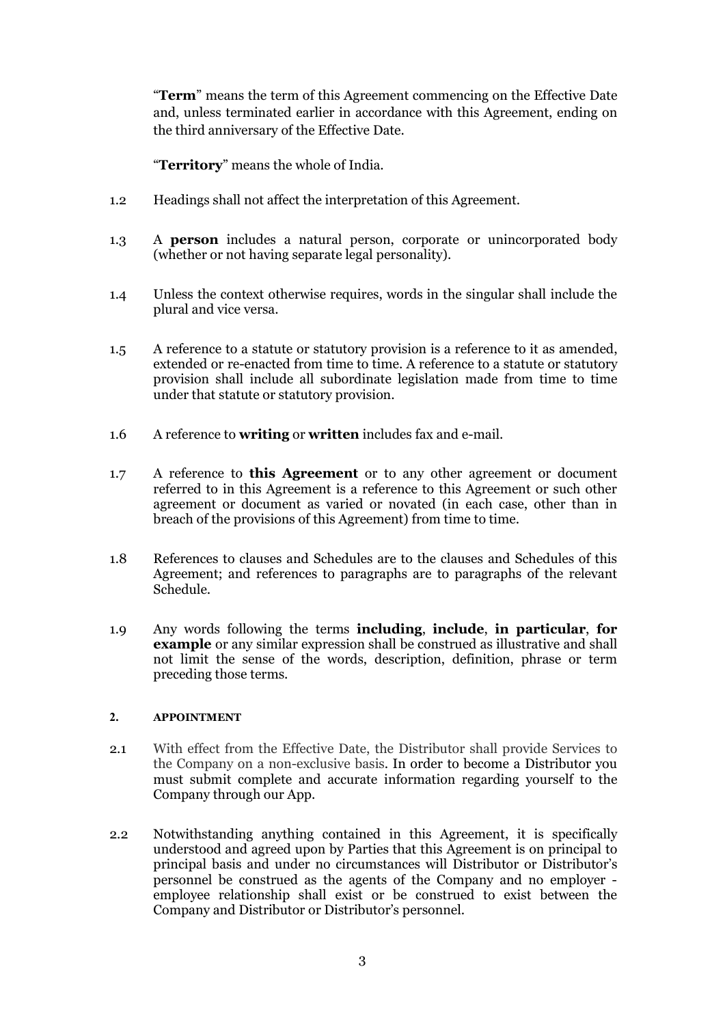"**Term**" means the term of this Agreement commencing on the Effective Date and, unless terminated earlier in accordance with this Agreement, ending on the third anniversary of the Effective Date.

"**Territory**" means the whole of India.

- 1.2 Headings shall not affect the interpretation of this Agreement.
- 1.3 A **person** includes a natural person, corporate or unincorporated body (whether or not having separate legal personality).
- 1.4 Unless the context otherwise requires, words in the singular shall include the plural and vice versa.
- 1.5 A reference to a statute or statutory provision is a reference to it as amended, extended or re-enacted from time to time. A reference to a statute or statutory provision shall include all subordinate legislation made from time to time under that statute or statutory provision.
- 1.6 A reference to **writing** or **written** includes fax and e-mail.
- 1.7 A reference to **this Agreement** or to any other agreement or document referred to in this Agreement is a reference to this Agreement or such other agreement or document as varied or novated (in each case, other than in breach of the provisions of this Agreement) from time to time.
- 1.8 References to clauses and Schedules are to the clauses and Schedules of this Agreement; and references to paragraphs are to paragraphs of the relevant Schedule.
- 1.9 Any words following the terms **including**, **include**, **in particular**, **for example** or any similar expression shall be construed as illustrative and shall not limit the sense of the words, description, definition, phrase or term preceding those terms.

# **2. APPOINTMENT**

- 2.1 With effect from the Effective Date, the Distributor shall provide Services to the Company on a non-exclusive basis. In order to become a Distributor you must submit complete and accurate information regarding yourself to the Company through our App.
- 2.2 Notwithstanding anything contained in this Agreement, it is specifically understood and agreed upon by Parties that this Agreement is on principal to principal basis and under no circumstances will Distributor or Distributor's personnel be construed as the agents of the Company and no employer employee relationship shall exist or be construed to exist between the Company and Distributor or Distributor's personnel.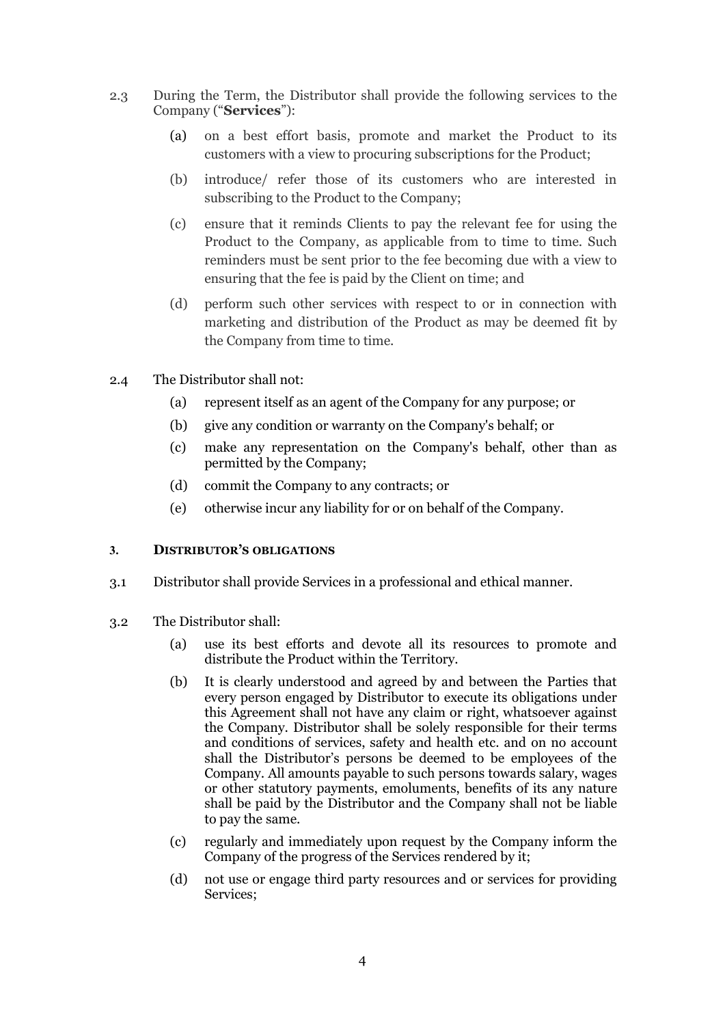- 2.3 During the Term, the Distributor shall provide the following services to the Company ("**Services**"):
	- (a) on a best effort basis, promote and market the Product to its customers with a view to procuring subscriptions for the Product;
	- (b) introduce/ refer those of its customers who are interested in subscribing to the Product to the Company;
	- (c) ensure that it reminds Clients to pay the relevant fee for using the Product to the Company, as applicable from to time to time. Such reminders must be sent prior to the fee becoming due with a view to ensuring that the fee is paid by the Client on time; and
	- (d) perform such other services with respect to or in connection with marketing and distribution of the Product as may be deemed fit by the Company from time to time.
- 2.4 The Distributor shall not:
	- (a) represent itself as an agent of the Company forany purpose; or
	- (b) give any condition or warranty on the Company's behalf; or
	- (c) make any representation on the Company's behalf, other than as permitted by the Company;
	- (d) commit the Company to any contracts; or
	- (e) otherwise incur any liability foror on behalf of the Company.

#### **3. DISTRIBUTOR'S OBLIGATIONS**

- 3.1 Distributor shall provide Services in a professional and ethical manner.
- 3.2 The Distributor shall:
	- (a) use its best efforts and devote all its resources to promote and distribute the Product within the Territory.<br>(b) It is clearly understood and agreed by and between the Parties that
	- every person engaged by Distributor to execute its obligations under this Agreement shall not have any claim or right, whatsoever against the Company. Distributor shall be solely responsible for their terms and conditions of services, safety and health etc. and on no account shall the Distributor's persons be deemed to be employees of the Company. All amounts payable to such persons towards salary, wages or other statutory payments, emoluments, benefits of its any nature shall be paid by the Distributor and the Company shall not be liable to pay the same.
	- (c) regularly and immediately upon request by the Company inform the Company of the progress of the Services rendered by it;
	- (d) not use or engage third party resources and or services for providing Services;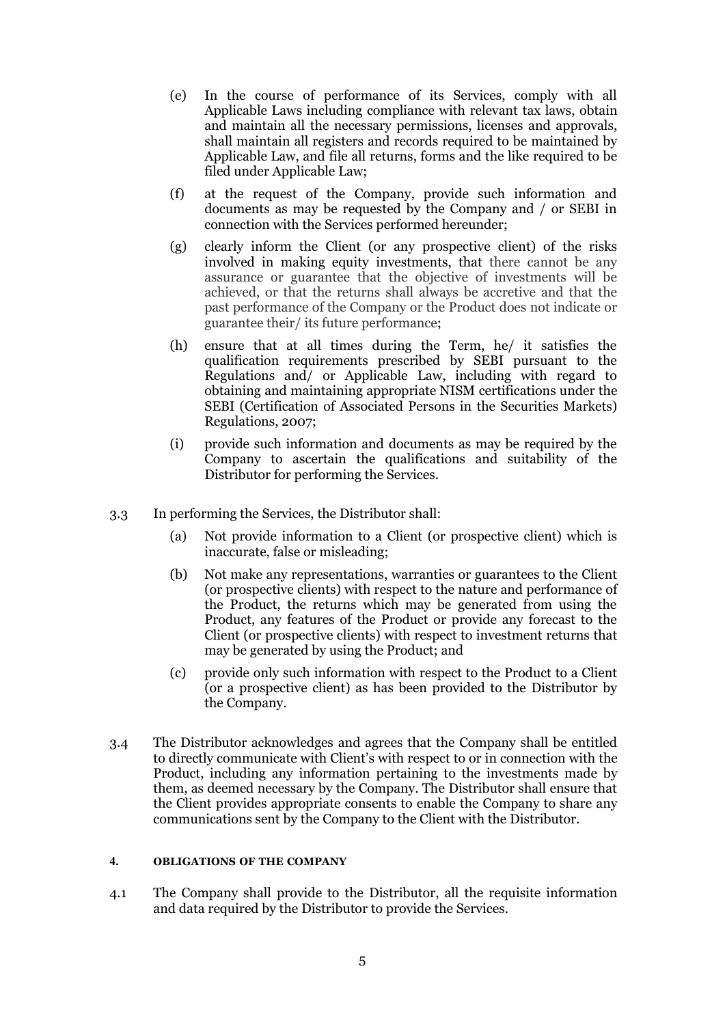- (e) In the course of performance of its Services, comply with all Applicable Laws including compliance with relevant tax laws, obtain and maintain all the necessary permissions, licenses and approvals, shall maintain all registers and records required to be maintained by Applicable Law, and file all returns, forms and the like required to be filed under Applicable Law;
- (f) at the request of the Company, provide such information and documents as may be requested by the Company and / or SEBI in connection with the Services performed hereunder;
- (g) clearly inform the Client (or any prospective client) of the risks involved in making equity investments, that there cannot be any assurance or guarantee that the objective of investments will be achieved, or that the returns shall always be accretive and that the past performance of the Company or the Product does not indicate or guarantee their/ its future performance;
- (h) ensure that at all times during the Term, he/ it satisfies the qualification requirements prescribed by SEBI pursuant to the Regulations and/ or Applicable Law, including with regard to obtaining and maintaining appropriate NISM certifications under the SEBI (Certification of Associated Persons in the Securities Markets) Regulations, 2007;
- (i) provide such information and documents as may be required by the Company to ascertain the qualifications and suitability of the Distributor for performing the Services.
- 3.3 In performing the Services, the Distributor shall:
	- (a) Not provide information to a Client (or prospective client) which is inaccurate, false or misleading;
	- (b) Not make any representations, warranties or guarantees to the Client (or prospective clients) with respect to the nature and performance of the Product, the returns which may be generated from using the Product, any features of the Product or provide any forecast to the Client (or prospective clients) with respect to investment returns that may be generated by using the Product; and
	- (c) provide only such information with respect to the Product to a Client (or a prospective client) as has been provided to the Distributor by the Company.
- 3.4 The Distributor acknowledges and agrees that the Company shall be entitled to directly communicate with Client's with respect to or in connection with the Product, including any information pertaining to the investments made by them, as deemed necessary by the Company. The Distributor shallensure that the Client provides appropriate consents to enable the Company to share any communications sent by the Company to the Client with the Distributor.

#### **4. OBLIGATIONS OF THE COMPANY**

4.1 The Company shall provide to the Distributor, all the requisite information and data required by the Distributor to provide the Services.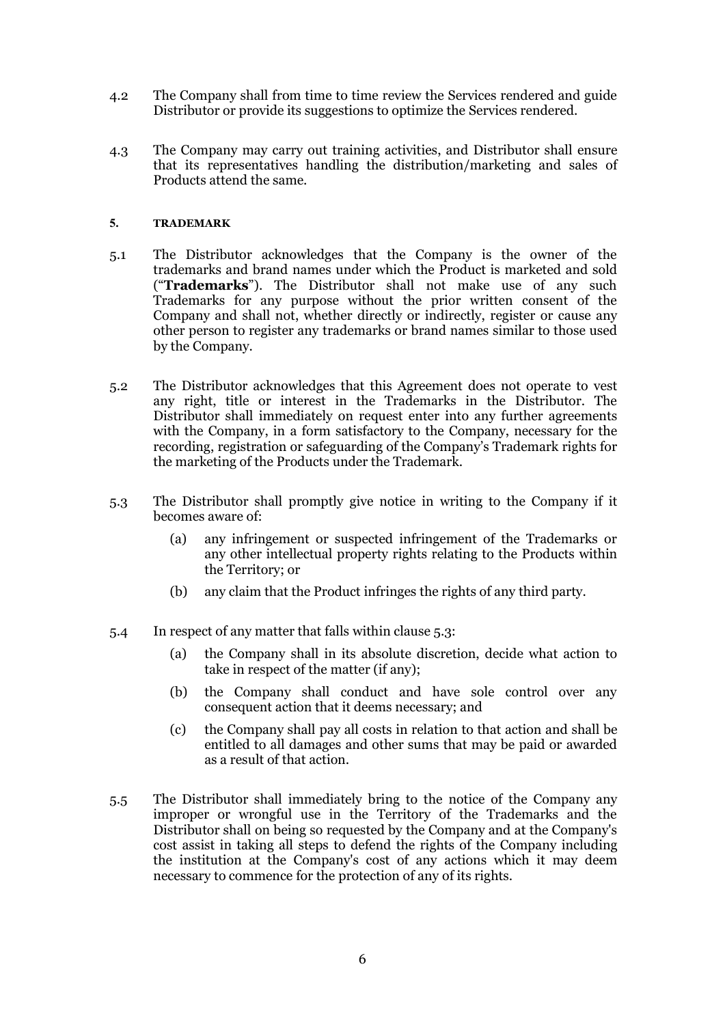- 4.2 The Company shall from time to time review the Services rendered and guide Distributor or provide its suggestions to optimize the Services rendered.
- 4.3 The Company may carry out training activities,and Distributor shall ensure that its representatives handling the distribution/marketing and sales of Products attend the same.

#### **5. TRADEMARK**

- 5.1 The Distributor acknowledges that the Company is the owner of the trademarks and brand names under which the Product is marketed and sold ("**Trademarks**"). The Distributor shall not make use of any such Trademarks for any purpose without the prior written consent of the Company and shall not, whether directly or indirectly, register or cause any other person to register any trademarks or brand names similar to those used by the Company.
- 5.2 The Distributor acknowledges that this Agreement does not operate to vest any right, title or interest in the Trademarks in the Distributor. The Distributor shall immediately on request enter into any further agreements with the Company, in a form satisfactory to the Company, necessary for the recording, registration or safeguarding of the Company's Trademark rights for the marketing of the Products under the Trademark.
- 5.3 The Distributor shall promptly give notice in writing to the Company if it becomes aware of:
	- (a) any infringement or suspected infringement of the Trademarks or any other intellectual property rights relating to the Products within the Territory; or
	- (b) any claim that the Product infringes the rights of any third party.
- 5.4 In respect of any matter that falls within clause 5.3:
	- (a) the Company shall in its absolute discretion, decide what action to take in respect of the matter (if any);
	- (b) the Company shall conduct and have sole control over any consequent action that it deems necessary; and
	- (c) the Company shall pay all costs in relation to that action and shall be entitled to all damages and other sums that may be paid or awarded as a result of that action.
- 5.5 The Distributor shall immediately bring to the notice of the Company any improper or wrongful use in the Territory of the Trademarks and the Distributor shall on being so requested by the Company and at the Company's cost assist in taking all steps to defend the rights of the Company including the institution at the Company's cost of any actions which it may deem necessary to commence for the protection of any of its rights.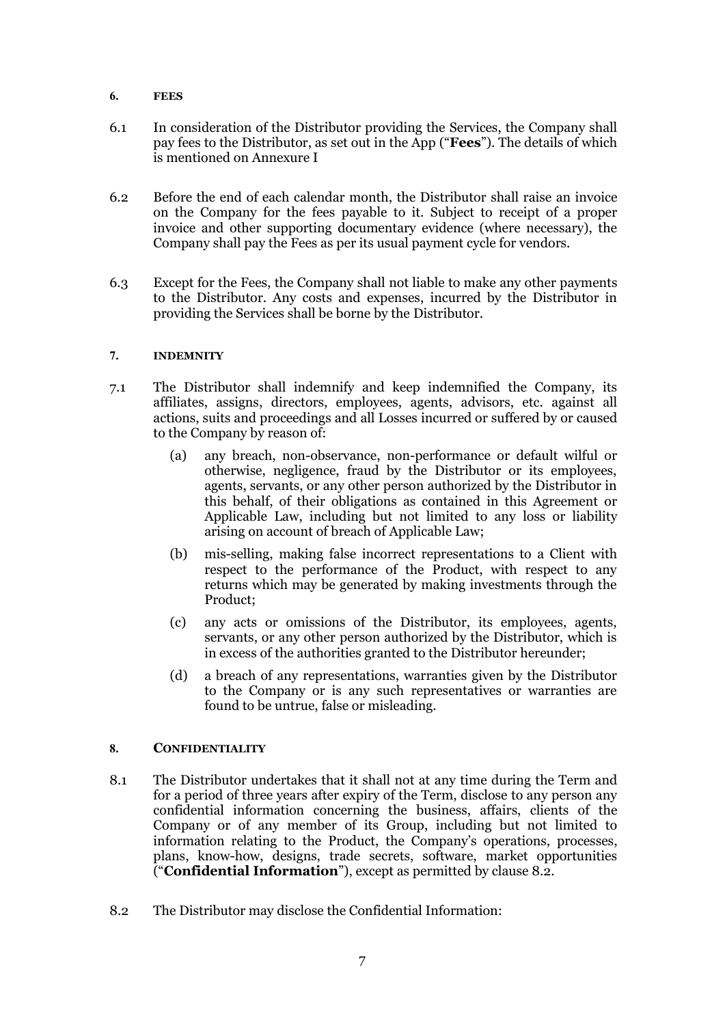#### **6. FEES**

- 6.1 In consideration of the Distributor providing the Services, the Company shall pay fees to the Distributor, as set out in the App ("**Fees**"). The details of which is mentioned on Annexure I
- 6.2 Before the end of each calendar month, the Distributor shall raise an invoice on the Company for the fees payable to it. Subject to receipt of a proper invoice and other supporting documentary evidence (where necessary), the Company shall pay the Fees as per its usual payment cycle for vendors.
- 6.3 Except for the Fees, the Company shall not liable to make any other payments to the Distributor. Any costs and expenses, incurred by the Distributor in providing the Services shall be borne by the Distributor.

#### **7. INDEMNITY**

- 7.1 The Distributor shall indemnify and keep indemnified the Company, its affiliates, assigns, directors, employees, agents, advisors, etc. against all actions, suits and proceedings and all Losses incurred or suffered by or caused to the Company by reason of:
	- (a) any breach, non-observance, non-performance or default wilful or otherwise, negligence, fraud by the Distributor or its employees, agents, servants, or any other person authorized by the Distributor in this behalf, of their obligations as contained in this Agreement or Applicable Law, including but not limited to any loss or liability arising on account of breach of Applicable Law;
	- (b) mis-selling, making false incorrect representations to a Client with respect to the performance of the Product, with respect to any returns which may be generated by making investments through the Product;
	- (c) any acts or omissions of the Distributor, its employees, agents, servants, or any other person authorized by the Distributor, which is in excessof the authorities granted to the Distributor hereunder;
	- (d) a breach of any representations, warranties given by the Distributor to the Company or is any such representatives or warranties are found to be untrue, false or misleading.

# **8. CONFIDENTIALITY**

- 8.1 The Distributor undertakes that it shall not at any time during the Term and for a period of three years after expiry of the Term, disclose to any person any confidential information concerning the business, affairs, clients of the Company or of any member of its Group, including but not limited to information relating to the Product, the Company's operations, processes, plans, know-how, designs, trade secrets, software, market opportunities ("**Confidential Information**"), except as permitted by clause 8.2.
- 8.2 The Distributor may disclose the Confidential Information: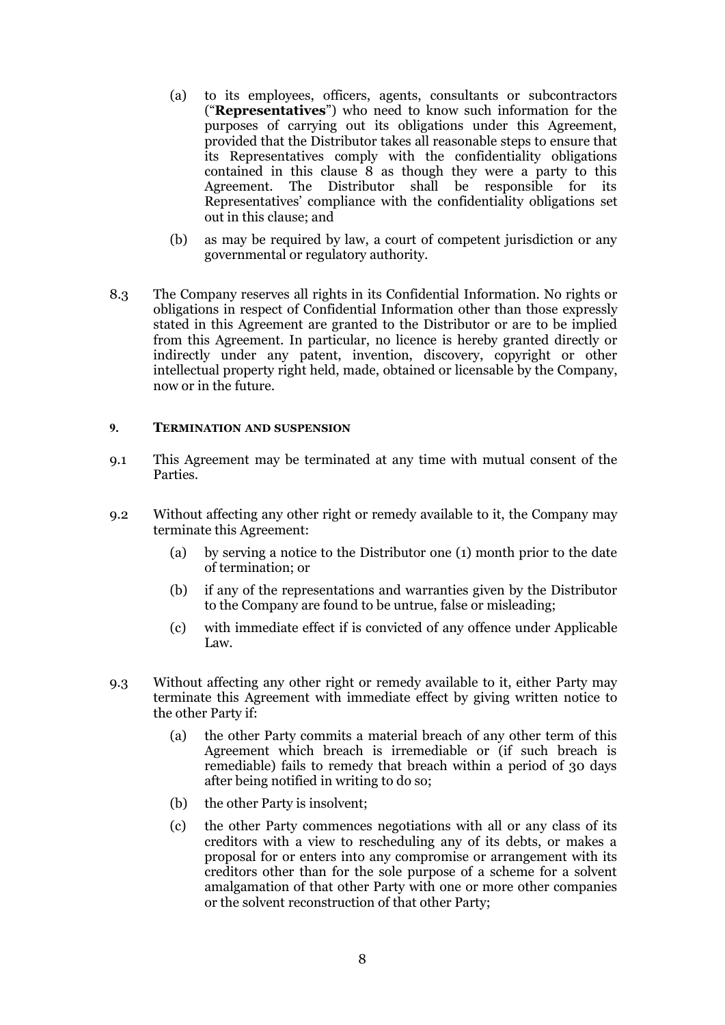- (a) to its employees, officers, agents, consultants or subcontractors ("**Representatives**") who need to know such information for the purposes of carrying out its obligations under this Agreement, provided that the Distributor takes all reasonable steps to ensure that its Representatives comply with the confidentiality obligations contained in this clause 8 as though they were a party to this Agreement. The Distributor shall be responsible for its shall be responsible for its Representatives' compliance with the confidentiality obligations set out in this clause; and
- (b) as may be required by law, a court of competent jurisdiction or any governmental or regulatory authority.
- 8.3 The Company reserves all rights in its Confidential Information. No rights or obligations in respect of Confidential Information other than those expressly stated in this Agreement are granted to the Distributor or are to be implied from this Agreement. In particular, no licence is hereby granted directly or indirectly under any patent, invention, discovery, copyright or other intellectual property right held, made, obtained or licensable by the Company, now or in the future.

#### **9. TERMINATION AND SUSPENSION**

- 9.1 This Agreement may be terminated at any time with mutual consent of the Parties.
- 9.2 Without affecting any other right or remedy available to it, the Company may terminate this Agreement:
	- (a) by serving a notice to the Distributor one (1) month prior to the date of termination; or
	- (b) if any of the representations and warranties given by the Distributor to the Company are found to be untrue, false or misleading;
	- (c) with immediate effect if is convicted of any offence under Applicable Law.
- 9.3 Without affecting any other right or remedy available to it, either Party may terminate this Agreement with immediate effect by giving written notice to the other Party if:
	- (a) the other Party commits a material breach of any other term of this Agreement which breach is irremediable or (if such breach is remediable) fails to remedy that breach within a period of 30 days after being notified in writing to do so;
	- (b) the other Party is insolvent;
	- (c) the other Party commences negotiations with all or any class of its creditors with a view to rescheduling any of its debts, or makes a proposal for or enters into any compromise or arrangement with its creditors other than for the sole purpose of a scheme for a solvent amalgamation of that other Party with one or more other companies or the solvent reconstruction of that other Party;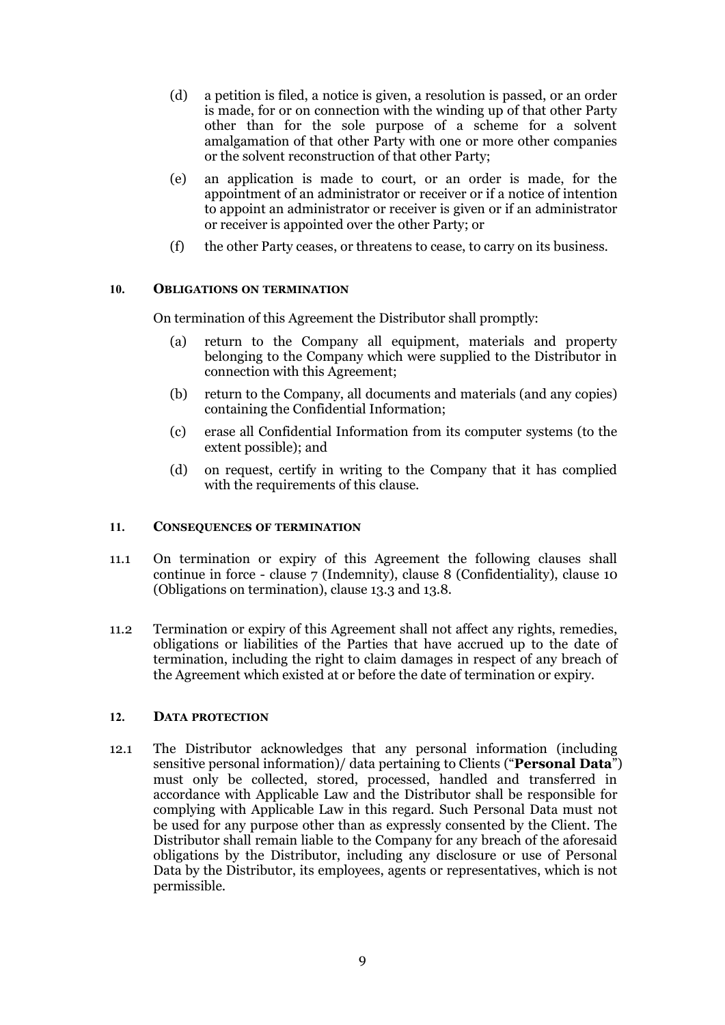- (d) a petition is filed, a notice isgiven, a resolution is passed, or an order is made, for or on connection with the winding up of that other Party other than for the sole purpose of a scheme for a solvent amalgamation of that other Party with one or more other companies or the solvent reconstruction of that other Party;
- (e) an application is made to court, or an order is made, for the appointment of an administrator or receiver or if a notice of intention to appoint an administrator or receiver is given or if an administrator or receiver is appointed over the other Party; or
- (f) the other Party ceases, or threatens to cease, to carry on its business.

# **10. OBLIGATIONS ON TERMINATION**

On termination of this Agreement the Distributor shall promptly:

- (a) return to the Company all equipment, materials and property belonging to the Company which were supplied to the Distributor in connection with this Agreement;
- (b) return to the Company, all documents and materials (and any copies) containing the Confidential Information;
- (c) erase all Confidential Information from its computer systems (to the extent possible); and
- (d) on request, certify in writing to the Company that it has complied with the requirements of this clause.

#### **11. CONSEQUENCES OF TERMINATION**

- 11.1 On termination or expiry of this Agreement the following clauses shall continue in force - clause 7 (Indemnity), clause 8 (Confidentiality), clause 10 (Obligations on termination), clause 13.3 and 13.8.
- 11.2 Termination or expiry of this Agreement shall not affect any rights, remedies, obligations or liabilities of the Parties that have accrued up to the date of termination, including the right to claim damages in respect of any breach of the Agreement which existed at or before the date of termination or expiry.

#### **12. DATA PROTECTION**

12.1 The Distributor acknowledges that any personal information (including sensitive personal information)/ data pertaining to Clients ("**Personal Data**") must only be collected, stored, processed, handled and transferred in accordance with Applicable Law and the Distributor shall be responsible for complying with Applicable Law in this regard. Such Personal Data must not be used for any purpose other than as expressly consented by the Client. The Distributor shall remain liable to the Company for any breach of the aforesaid obligations by the Distributor, including any disclosure or use of Personal Data by the Distributor, its employees, agents or representatives, which is not permissible.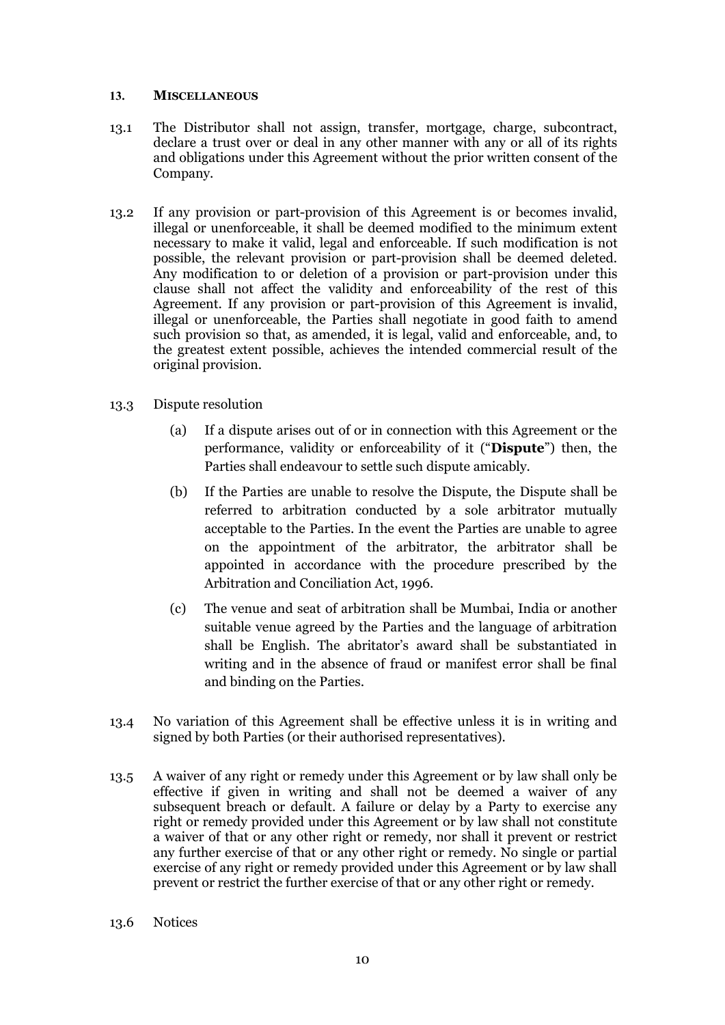#### **13. MISCELLANEOUS**

- 13.1 The Distributor shall not assign, transfer, mortgage, charge, subcontract, declare a trust over or deal in any other manner with any or all of its rights and obligations under this Agreement without the prior written consent of the Company.
- 13.2 If any provision or part-provision of this Agreement is or becomes invalid, illegal or unenforceable, it shall be deemed modified to the minimum extent necessary to make it valid, legal and enforceable. If such modification is not possible, the relevant provision or part-provision shall be deemed deleted. Any modification to or deletion of a provision or part-provision under this clause shall not affect the validity and enforceability of the rest of this Agreement. If any provision or part-provision of this Agreement is invalid, illegal or unenforceable, the Parties shall negotiate in good faith to amend such provision so that, as amended, it is legal, valid and enforceable, and, to the greatest extent possible, achieves the intended commercial result of the original provision.
- 13.3 Dispute resolution
	- (a) If a dispute arises out of or in connection with this Agreement or the performance, validity or enforceability of it ("**Dispute**") then, the Parties shall endeavour to settle such dispute amicably.
	- (b) If the Parties are unable to resolve the Dispute, the Dispute shall be referred to arbitration conducted by a sole arbitrator mutually acceptable to the Parties. In the event the Parties are unable to agree on the appointment of the arbitrator, the arbitrator shall be appointed in accordance with the procedure prescribed by the Arbitration and Conciliation Act, 1996.
	- (c) The venue and seat of arbitration shall be Mumbai, India or another suitable venue agreed by the Parties and the language of arbitration shall be English. The abritator's award shall be substantiated in writing and in the absence of fraud or manifest error shall be final and binding on the Parties.
- 13.4 No variation of this Agreement shall be effective unless it is in writing and signed by both Parties (or their authorised representatives).
- 13.5 A waiver of any right or remedy under this Agreement or by law shall only be effective if given in writing and shall not be deemed a waiver of any subsequent breach or default. A failure or delay by a Party to exercise any right or remedy provided under this Agreement or by law shall not constitute a waiver of that or any other right or remedy, nor shall it prevent or restrict any further exercise of that or any other right or remedy. No single or partial exercise of any right or remedy provided under this Agreement or by law shall prevent or restrict the further exercise of that or any other right or remedy.
- 13.6 Notices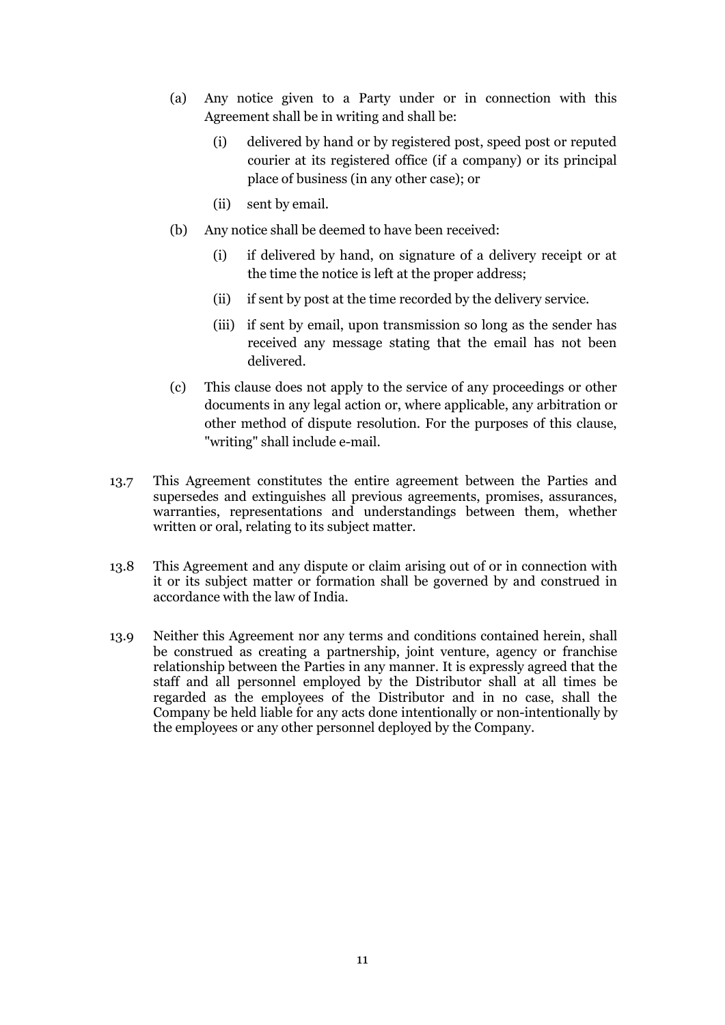- (a) Any notice given to a Party under or in connection with this Agreement shall be in writing and shall be:
	- (i) delivered by hand or by registered post, speed post or reputed courier at its registered office (if a company) or its principal place of business (in any other case); or
	- (ii) sent by email.
- (b) Any notice shall be deemed to have been received:
	- (i) if delivered by hand, on signature of a delivery receipt or at the time the notice is left at the proper address;
	- (ii) if sent by post at the time recorded by the delivery service.
	- (iii) if sent by email, upon transmission so long as the sender has received any message stating that the email has not been delivered.
- (c) This clause does not apply to the service of any proceedings or other documents in anylegal action or, where applicable, any arbitration or other method of dispute resolution. For the purposes of this clause, "writing" shall include e-mail.
- 13.7 This Agreement constitutes the entire agreement between the Parties and supersedes and extinguishes all previous agreements, promises, assurances, warranties, representations and understandings between them, whether written or oral, relating to its subject matter.
- 13.8 This Agreement and any dispute or claim arising out of or in connection with it or its subject matter or formation shall be governed by and construed in accordance with the law of India.
- 13.9 Neither this Agreement nor any terms and conditions contained herein, shall be construed as creating a partnership, joint venture, agency or franchise relationship between the Parties in anymanner. It is expressly agreed that the staff and all personnel employed by the Distributor shall at all times be regarded as the employees of the Distributor and in no case, shall the Company be held liable for any acts done intentionally or non-intentionally by the employees or any other personnel deployed by the Company.